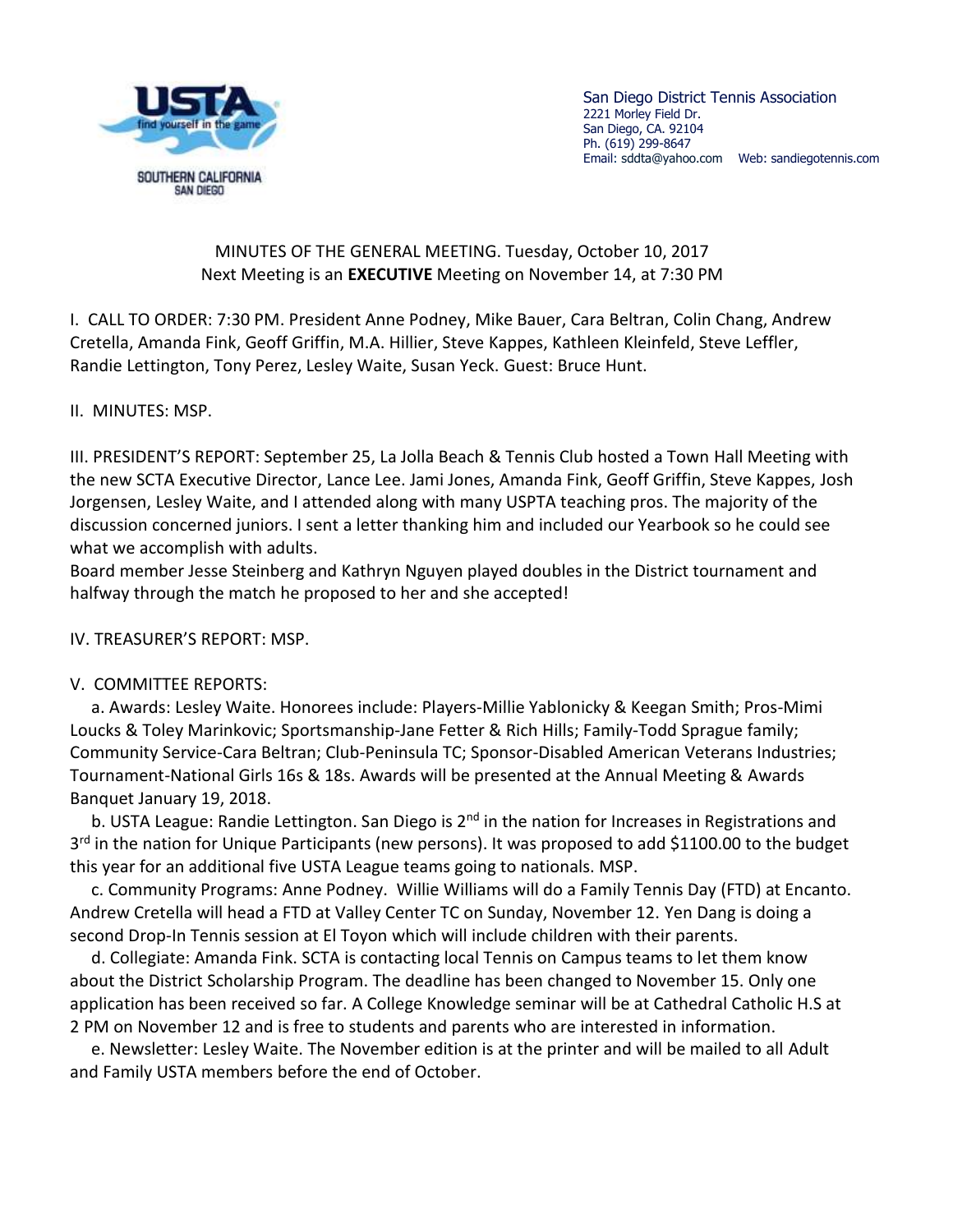

San Diego District Tennis Association 2221 Morley Field Dr. San Diego, CA. 92104 Ph. (619) 299-8647 Email: [sddta@yahoo.com](mailto:sddta@yahoo.com) Web: sandiegotennis.com

## MINUTES OF THE GENERAL MEETING. Tuesday, October 10, 2017 Next Meeting is an **EXECUTIVE** Meeting on November 14, at 7:30 PM

I. CALL TO ORDER: 7:30 PM. President Anne Podney, Mike Bauer, Cara Beltran, Colin Chang, Andrew Cretella, Amanda Fink, Geoff Griffin, M.A. Hillier, Steve Kappes, Kathleen Kleinfeld, Steve Leffler, Randie Lettington, Tony Perez, Lesley Waite, Susan Yeck. Guest: Bruce Hunt.

II. MINUTES: MSP.

III. PRESIDENT'S REPORT: September 25, La Jolla Beach & Tennis Club hosted a Town Hall Meeting with the new SCTA Executive Director, Lance Lee. Jami Jones, Amanda Fink, Geoff Griffin, Steve Kappes, Josh Jorgensen, Lesley Waite, and I attended along with many USPTA teaching pros. The majority of the discussion concerned juniors. I sent a letter thanking him and included our Yearbook so he could see what we accomplish with adults.

Board member Jesse Steinberg and Kathryn Nguyen played doubles in the District tournament and halfway through the match he proposed to her and she accepted!

IV. TREASURER'S REPORT: MSP.

## V. COMMITTEE REPORTS:

 a. Awards: Lesley Waite. Honorees include: Players-Millie Yablonicky & Keegan Smith; Pros-Mimi Loucks & Toley Marinkovic; Sportsmanship-Jane Fetter & Rich Hills; Family-Todd Sprague family; Community Service-Cara Beltran; Club-Peninsula TC; Sponsor-Disabled American Veterans Industries; Tournament-National Girls 16s & 18s. Awards will be presented at the Annual Meeting & Awards Banquet January 19, 2018.

b. USTA League: Randie Lettington. San Diego is 2<sup>nd</sup> in the nation for Increases in Registrations and 3<sup>rd</sup> in the nation for Unique Participants (new persons). It was proposed to add \$1100.00 to the budget this year for an additional five USTA League teams going to nationals. MSP.

 c. Community Programs: Anne Podney. Willie Williams will do a Family Tennis Day (FTD) at Encanto. Andrew Cretella will head a FTD at Valley Center TC on Sunday, November 12. Yen Dang is doing a second Drop-In Tennis session at El Toyon which will include children with their parents.

 d. Collegiate: Amanda Fink. SCTA is contacting local Tennis on Campus teams to let them know about the District Scholarship Program. The deadline has been changed to November 15. Only one application has been received so far. A College Knowledge seminar will be at Cathedral Catholic H.S at 2 PM on November 12 and is free to students and parents who are interested in information.

 e. Newsletter: Lesley Waite. The November edition is at the printer and will be mailed to all Adult and Family USTA members before the end of October.